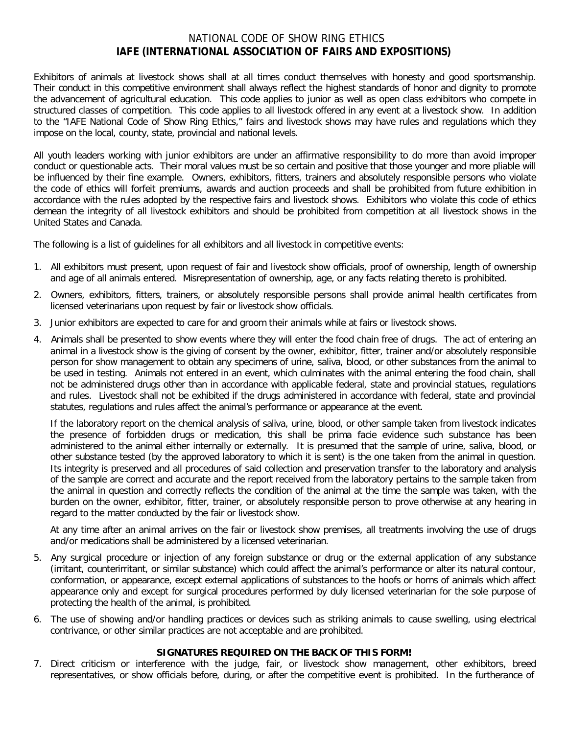## NATIONAL CODE OF SHOW RING ETHICS **IAFE (INTERNATIONAL ASSOCIATION OF FAIRS AND EXPOSITIONS)**

Exhibitors of animals at livestock shows shall at all times conduct themselves with honesty and good sportsmanship. Their conduct in this competitive environment shall always reflect the highest standards of honor and dignity to promote the advancement of agricultural education. This code applies to junior as well as open class exhibitors who compete in structured classes of competition. This code applies to all livestock offered in any event at a livestock show. In addition to the "IAFE National Code of Show Ring Ethics," fairs and livestock shows may have rules and regulations which they impose on the local, county, state, provincial and national levels.

All youth leaders working with junior exhibitors are under an affirmative responsibility to do more than avoid improper conduct or questionable acts. Their moral values must be so certain and positive that those younger and more pliable will be influenced by their fine example. Owners, exhibitors, fitters, trainers and absolutely responsible persons who violate the code of ethics will forfeit premiums, awards and auction proceeds and shall be prohibited from future exhibition in accordance with the rules adopted by the respective fairs and livestock shows. Exhibitors who violate this code of ethics demean the integrity of all livestock exhibitors and should be prohibited from competition at all livestock shows in the United States and Canada.

The following is a list of guidelines for all exhibitors and all livestock in competitive events:

- 1. All exhibitors must present, upon request of fair and livestock show officials, proof of ownership, length of ownership and age of all animals entered. Misrepresentation of ownership, age, or any facts relating thereto is prohibited.
- 2. Owners, exhibitors, fitters, trainers, or absolutely responsible persons shall provide animal health certificates from licensed veterinarians upon request by fair or livestock show officials.
- 3. Junior exhibitors are expected to care for and groom their animals while at fairs or livestock shows.
- 4. Animals shall be presented to show events where they will enter the food chain free of drugs. The act of entering an animal in a livestock show is the giving of consent by the owner, exhibitor, fitter, trainer and/or absolutely responsible person for show management to obtain any specimens of urine, saliva, blood, or other substances from the animal to be used in testing. Animals not entered in an event, which culminates with the animal entering the food chain, shall not be administered drugs other than in accordance with applicable federal, state and provincial statues, regulations and rules. Livestock shall not be exhibited if the drugs administered in accordance with federal, state and provincial statutes, regulations and rules affect the animal's performance or appearance at the event.

If the laboratory report on the chemical analysis of saliva, urine, blood, or other sample taken from livestock indicates the presence of forbidden drugs or medication, this shall be prima facie evidence such substance has been administered to the animal either internally or externally. It is presumed that the sample of urine, saliva, blood, or other substance tested (by the approved laboratory to which it is sent) is the one taken from the animal in question. Its integrity is preserved and all procedures of said collection and preservation transfer to the laboratory and analysis of the sample are correct and accurate and the report received from the laboratory pertains to the sample taken from the animal in question and correctly reflects the condition of the animal at the time the sample was taken, with the burden on the owner, exhibitor, fitter, trainer, or absolutely responsible person to prove otherwise at any hearing in regard to the matter conducted by the fair or livestock show.

At any time after an animal arrives on the fair or livestock show premises, all treatments involving the use of drugs and/or medications shall be administered by a licensed veterinarian.

- 5. Any surgical procedure or injection of any foreign substance or drug or the external application of any substance (irritant, counterirritant, or similar substance) which could affect the animal's performance or alter its natural contour, conformation, or appearance, except external applications of substances to the hoofs or horns of animals which affect appearance only and except for surgical procedures performed by duly licensed veterinarian for the sole purpose of protecting the health of the animal, is prohibited.
- 6. The use of showing and/or handling practices or devices such as striking animals to cause swelling, using electrical contrivance, or other similar practices are not acceptable and are prohibited.

## **SIGNATURES REQUIRED ON THE BACK OF THIS FORM!**

7. Direct criticism or interference with the judge, fair, or livestock show management, other exhibitors, breed representatives, or show officials before, during, or after the competitive event is prohibited. In the furtherance of